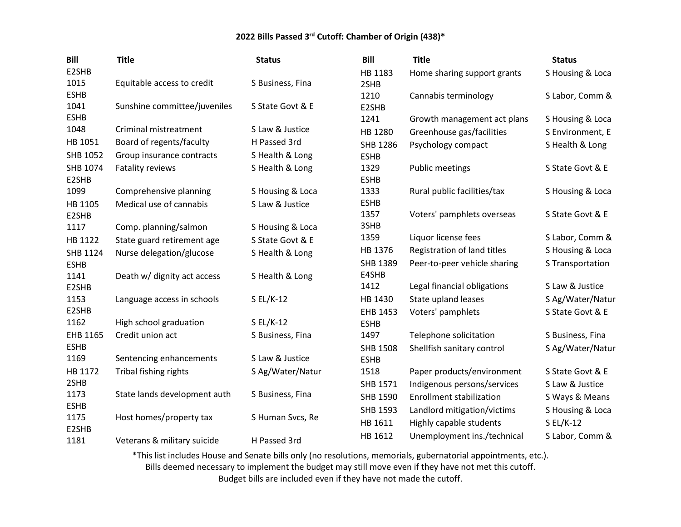| E2SHB                                                                                                                  |                  |
|------------------------------------------------------------------------------------------------------------------------|------------------|
| HB 1183<br>Home sharing support grants                                                                                 | S Housing & Loca |
| 1015<br>Equitable access to credit<br>S Business, Fina<br>2SHB                                                         |                  |
| <b>ESHB</b><br>1210<br>Cannabis terminology                                                                            | S Labor, Comm &  |
| 1041<br>Sunshine committee/juveniles<br>S State Govt & E<br>E2SHB                                                      |                  |
| <b>ESHB</b><br>1241<br>Growth management act plans                                                                     | S Housing & Loca |
| 1048<br>S Law & Justice<br>Criminal mistreatment<br>HB 1280<br>Greenhouse gas/facilities                               | S Environment, E |
| HB 1051<br>Board of regents/faculty<br>H Passed 3rd<br>SHB 1286<br>Psychology compact                                  | S Health & Long  |
| <b>SHB 1052</b><br>Group insurance contracts<br>S Health & Long<br><b>ESHB</b>                                         |                  |
| SHB 1074<br>S Health & Long<br>1329<br>Fatality reviews<br><b>Public meetings</b>                                      | S State Govt & E |
| <b>ESHB</b><br>E2SHB                                                                                                   |                  |
| Comprehensive planning<br>1333<br>1099<br>S Housing & Loca<br>Rural public facilities/tax                              | S Housing & Loca |
| <b>ESHB</b><br>HB 1105<br>Medical use of cannabis<br>S Law & Justice                                                   |                  |
| 1357<br>Voters' pamphlets overseas<br>E2SHB                                                                            | S State Govt & E |
| 3SHB<br>1117<br>Comp. planning/salmon<br>S Housing & Loca                                                              |                  |
| 1359<br>Liquor license fees<br>HB 1122<br>State guard retirement age<br>S State Govt & E                               | S Labor, Comm &  |
| HB 1376<br>Registration of land titles<br><b>SHB 1124</b><br>Nurse delegation/glucose<br>S Health & Long               | S Housing & Loca |
| SHB 1389<br>Peer-to-peer vehicle sharing<br><b>ESHB</b>                                                                | S Transportation |
| E4SHB<br>S Health & Long<br>1141<br>Death w/ dignity act access                                                        |                  |
| 1412<br>Legal financial obligations<br>E2SHB                                                                           | S Law & Justice  |
| 1153<br>HB 1430<br>State upland leases<br>Language access in schools<br>S EL/K-12                                      | S Ag/Water/Natur |
| E2SHB<br>Voters' pamphlets<br>EHB 1453                                                                                 | S State Govt & E |
| 1162<br>High school graduation<br>S EL/K-12<br><b>ESHB</b>                                                             |                  |
| EHB 1165<br>1497<br>Telephone solicitation<br>Credit union act<br>S Business, Fina                                     | S Business, Fina |
| <b>ESHB</b><br><b>SHB 1508</b><br>Shellfish sanitary control                                                           | S Ag/Water/Natur |
| S Law & Justice<br>1169<br>Sentencing enhancements<br><b>ESHB</b>                                                      |                  |
| HB 1172<br>Tribal fishing rights<br>S Ag/Water/Natur<br>1518<br>Paper products/environment                             | S State Govt & E |
| 2SHB<br>Indigenous persons/services<br>SHB 1571                                                                        | S Law & Justice  |
| State lands development auth<br>1173<br>S Business, Fina<br>SHB 1590<br><b>Enrollment stabilization</b><br><b>ESHB</b> | S Ways & Means   |
| SHB 1593<br>Landlord mitigation/victims<br>Host homes/property tax<br>1175<br>S Human Svcs, Re                         | S Housing & Loca |
| HB 1611<br>Highly capable students<br>$SL/K-12$<br>E2SHB                                                               |                  |
| HB 1612<br>Unemployment ins./technical<br>1181<br>Veterans & military suicide<br>H Passed 3rd                          | S Labor, Comm &  |

\*This list includes House and Senate bills only (no resolutions, memorials, gubernatorial appointments, etc.).

Bills deemed necessary to implement the budget may still move even if they have not met this cutoff.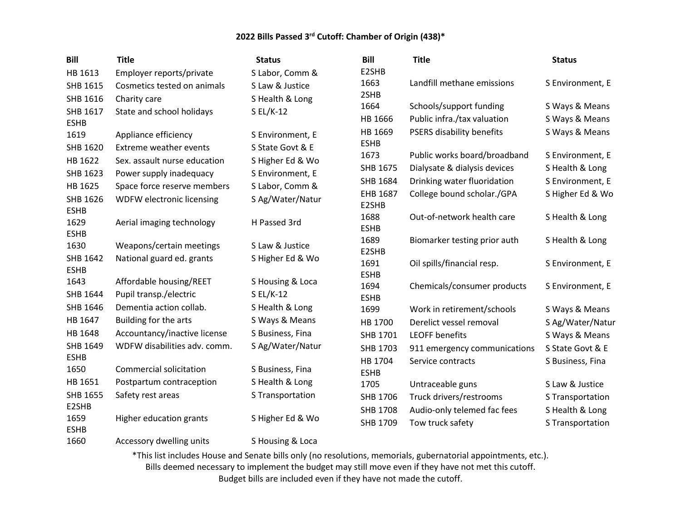| <b>Bill</b>         | <b>Title</b>                  | <b>Status</b>    | <b>Bill</b>         | <b>Title</b>                 | <b>Status</b>    |
|---------------------|-------------------------------|------------------|---------------------|------------------------------|------------------|
| HB 1613             | Employer reports/private      | S Labor, Comm &  | E2SHB               |                              |                  |
| SHB 1615            | Cosmetics tested on animals   | S Law & Justice  | 1663                | Landfill methane emissions   | S Environment, E |
| SHB 1616            | Charity care                  | S Health & Long  | 2SHB                |                              |                  |
| SHB 1617            | State and school holidays     | $SL/K-12$        | 1664                | Schools/support funding      | S Ways & Means   |
| <b>ESHB</b>         |                               |                  | HB 1666             | Public infra./tax valuation  | S Ways & Means   |
| 1619                | Appliance efficiency          | S Environment, E | HB 1669             | PSERS disability benefits    | S Ways & Means   |
| SHB 1620            | <b>Extreme weather events</b> | S State Govt & E | <b>ESHB</b><br>1673 |                              |                  |
| HB 1622             | Sex. assault nurse education  | S Higher Ed & Wo |                     | Public works board/broadband | S Environment, E |
| SHB 1623            | Power supply inadequacy       | S Environment, E | SHB 1675            | Dialysate & dialysis devices | S Health & Long  |
| HB 1625             | Space force reserve members   | S Labor, Comm &  | SHB 1684            | Drinking water fluoridation  | S Environment, E |
| SHB 1626            | WDFW electronic licensing     | S Ag/Water/Natur | EHB 1687<br>E2SHB   | College bound scholar./GPA   | S Higher Ed & Wo |
| <b>ESHB</b>         |                               |                  | 1688                | Out-of-network health care   | S Health & Long  |
| 1629                | Aerial imaging technology     | H Passed 3rd     | <b>ESHB</b>         |                              |                  |
| <b>ESHB</b>         |                               |                  | 1689                | Biomarker testing prior auth | S Health & Long  |
| 1630                | Weapons/certain meetings      | S Law & Justice  | E2SHB               |                              |                  |
| SHB 1642            | National guard ed. grants     | S Higher Ed & Wo | 1691                | Oil spills/financial resp.   | S Environment, E |
| <b>ESHB</b><br>1643 |                               |                  | <b>ESHB</b>         |                              |                  |
|                     | Affordable housing/REET       | S Housing & Loca | 1694                | Chemicals/consumer products  | S Environment, E |
| SHB 1644            | Pupil transp./electric        | $SL/K-12$        | <b>ESHB</b>         |                              |                  |
| SHB 1646            | Dementia action collab.       | S Health & Long  | 1699                | Work in retirement/schools   | S Ways & Means   |
| HB 1647             | Building for the arts         | S Ways & Means   | HB 1700             | Derelict vessel removal      | S Ag/Water/Natur |
| HB 1648             | Accountancy/inactive license  | S Business, Fina | SHB 1701            | <b>LEOFF benefits</b>        | S Ways & Means   |
| SHB 1649            | WDFW disabilities adv. comm.  | S Ag/Water/Natur | SHB 1703            | 911 emergency communications | S State Govt & E |
| <b>ESHB</b><br>1650 | Commercial solicitation       |                  | HB 1704             | Service contracts            | S Business, Fina |
| HB 1651             |                               | S Business, Fina | <b>ESHB</b>         |                              |                  |
|                     | Postpartum contraception      | S Health & Long  | 1705                | Untraceable guns             | S Law & Justice  |
| SHB 1655<br>E2SHB   | Safety rest areas             | S Transportation | SHB 1706            | Truck drivers/restrooms      | S Transportation |
| 1659                | Higher education grants       | S Higher Ed & Wo | <b>SHB 1708</b>     | Audio-only telemed fac fees  | S Health & Long  |
| <b>ESHB</b>         |                               |                  | SHB 1709            | Tow truck safety             | S Transportation |
| 1660                | Accessory dwelling units      | S Housing & Loca |                     |                              |                  |

\*This list includes House and Senate bills only (no resolutions, memorials, gubernatorial appointments, etc.). Bills deemed necessary to implement the budget may still move even if they have not met this cutoff.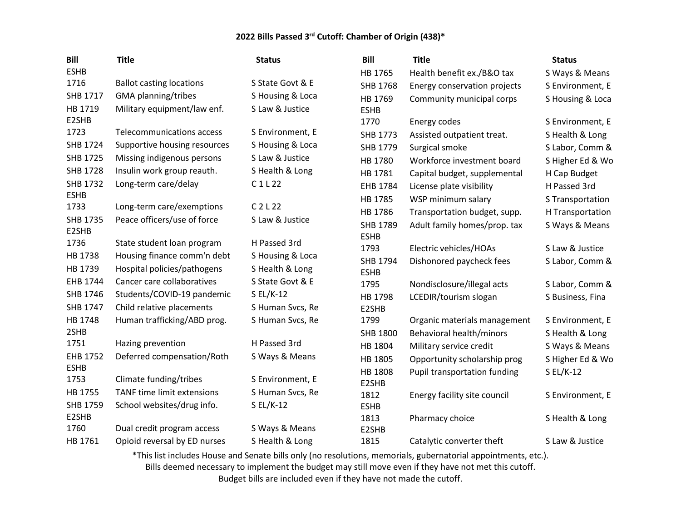| <b>Status</b>                                                                                                       |                  |
|---------------------------------------------------------------------------------------------------------------------|------------------|
| <b>ESHB</b><br>HB 1765<br>Health benefit ex./B&O tax                                                                | S Ways & Means   |
| 1716<br>S State Govt & E<br><b>Ballot casting locations</b><br>SHB 1768<br>Energy conservation projects             | S Environment, E |
| SHB 1717<br><b>GMA</b> planning/tribes<br>S Housing & Loca<br>HB 1769<br>Community municipal corps                  | S Housing & Loca |
| HB 1719<br>S Law & Justice<br>Military equipment/law enf.<br><b>ESHB</b>                                            |                  |
| E2SHB<br>1770<br>Energy codes                                                                                       | S Environment, E |
| 1723<br><b>Telecommunications access</b><br>S Environment, E<br>SHB 1773<br>Assisted outpatient treat.              | S Health & Long  |
| <b>SHB 1724</b><br>S Housing & Loca<br>Supportive housing resources<br>SHB 1779<br>Surgical smoke                   | S Labor, Comm &  |
| SHB 1725<br>S Law & Justice<br>Missing indigenous persons<br>HB 1780<br>Workforce investment board                  | S Higher Ed & Wo |
| <b>SHB 1728</b><br>S Health & Long<br>Insulin work group reauth.<br>HB 1781<br>Capital budget, supplemental         | H Cap Budget     |
| <b>SHB 1732</b><br>Long-term care/delay<br>C1L22<br>EHB 1784<br>License plate visibility                            | H Passed 3rd     |
| <b>ESHB</b><br>HB 1785<br>WSP minimum salary                                                                        | S Transportation |
| 1733<br>$C$ 2 L 22<br>Long-term care/exemptions<br>HB 1786<br>Transportation budget, supp.                          | H Transportation |
| Peace officers/use of force<br>SHB 1735<br>S Law & Justice<br>SHB 1789<br>Adult family homes/prop. tax              | S Ways & Means   |
| E2SHB<br><b>ESHB</b><br>1736<br>H Passed 3rd                                                                        |                  |
| State student loan program<br>1793<br>Electric vehicles/HOAs<br>HB 1738<br>Housing finance comm'n debt              | S Law & Justice  |
| S Housing & Loca<br>SHB 1794<br>Dishonored paycheck fees<br>HB 1739<br>S Health & Long                              | S Labor, Comm &  |
| Hospital policies/pathogens<br><b>ESHB</b><br>S State Govt & E                                                      |                  |
| EHB 1744<br>Cancer care collaboratives<br>1795<br>Nondisclosure/illegal acts                                        | S Labor, Comm &  |
| SHB 1746<br>Students/COVID-19 pandemic<br>S EL/K-12<br>HB 1798<br>LCEDIR/tourism slogan                             | S Business, Fina |
| SHB 1747<br>Child relative placements<br>S Human Svcs, Re<br>E2SHB                                                  |                  |
| HB 1748<br>Human trafficking/ABD prog.<br>1799<br>S Human Svcs, Re<br>Organic materials management                  | S Environment, E |
| 2SHB<br>SHB 1800<br>Behavioral health/minors<br>1751<br>H Passed 3rd                                                | S Health & Long  |
| Hazing prevention<br>HB 1804<br>Military service credit<br>EHB 1752<br>Deferred compensation/Roth<br>S Ways & Means | S Ways & Means   |
| HB 1805<br>Opportunity scholarship prog<br><b>ESHB</b>                                                              | S Higher Ed & Wo |
| HB 1808<br>Pupil transportation funding<br>1753<br>Climate funding/tribes<br>S Environment, E                       | S EL/K-12        |
| E2SHB<br>HB 1755<br>TANF time limit extensions<br>S Human Svcs, Re                                                  |                  |
| 1812<br>Energy facility site council<br>SHB 1759<br>School websites/drug info.<br>$SL/K-12$<br><b>ESHB</b>          | S Environment, E |
| E2SHB<br>1813<br>Pharmacy choice                                                                                    | S Health & Long  |
| 1760<br>Dual credit program access<br>S Ways & Means<br>E2SHB                                                       |                  |
| HB 1761<br>Opioid reversal by ED nurses<br>S Health & Long<br>1815<br>Catalytic converter theft                     | S Law & Justice  |

\*This list includes House and Senate bills only (no resolutions, memorials, gubernatorial appointments, etc.).

Bills deemed necessary to implement the budget may still move even if they have not met this cutoff.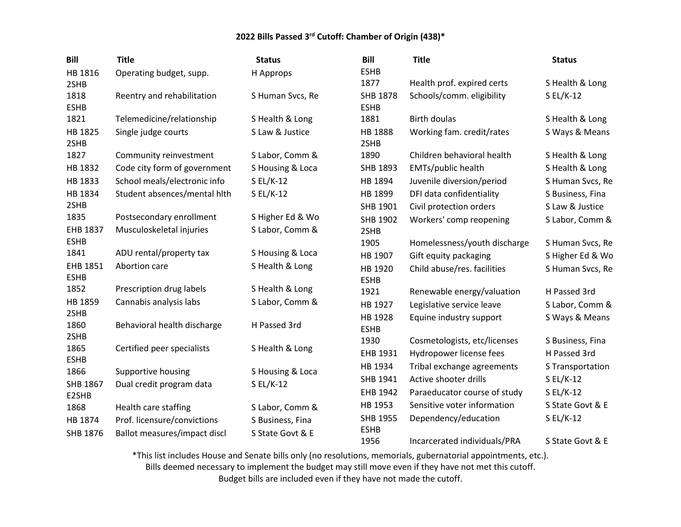| <b>Bill</b>             | <b>Title</b>                 | <b>Status</b>    | <b>Bill</b>                    | <b>Title</b>                 | <b>Status</b>    |
|-------------------------|------------------------------|------------------|--------------------------------|------------------------------|------------------|
| HB 1816                 | Operating budget, supp.      | H Approps        | <b>ESHB</b>                    |                              |                  |
| 2SHB                    |                              |                  | 1877                           | Health prof. expired certs   | S Health & Long  |
| 1818<br><b>ESHB</b>     | Reentry and rehabilitation   | S Human Svcs, Re | <b>SHB 1878</b><br><b>ESHB</b> | Schools/comm. eligibility    | $SL/K-12$        |
| 1821                    | Telemedicine/relationship    | S Health & Long  | 1881                           | <b>Birth doulas</b>          | S Health & Long  |
| HB 1825<br>2SHB         | Single judge courts          | S Law & Justice  | HB 1888<br>2SHB                | Working fam. credit/rates    | S Ways & Means   |
| 1827                    | Community reinvestment       | S Labor, Comm &  | 1890                           | Children behavioral health   | S Health & Long  |
| HB 1832                 | Code city form of government | S Housing & Loca | SHB 1893                       | EMTs/public health           | S Health & Long  |
| HB 1833                 | School meals/electronic info | S EL/K-12        | HB 1894                        | Juvenile diversion/period    | S Human Svcs, Re |
| HB 1834                 | Student absences/mental hith | S EL/K-12        | HB 1899                        | DFI data confidentiality     | S Business, Fina |
| 2SHB                    |                              |                  | SHB 1901                       | Civil protection orders      | S Law & Justice  |
| 1835                    | Postsecondary enrollment     | S Higher Ed & Wo | SHB 1902                       | Workers' comp reopening      | S Labor, Comm &  |
| EHB 1837                | Musculoskeletal injuries     | S Labor, Comm &  | 2SHB                           |                              |                  |
| <b>ESHB</b>             |                              |                  | 1905                           | Homelessness/youth discharge | S Human Svcs, Re |
| 1841                    | ADU rental/property tax      | S Housing & Loca | HB 1907                        | Gift equity packaging        | S Higher Ed & Wo |
| EHB 1851<br><b>ESHB</b> | Abortion care                | S Health & Long  | HB 1920<br><b>ESHB</b>         | Child abuse/res. facilities  | S Human Svcs, Re |
| 1852                    | Prescription drug labels     | S Health & Long  | 1921                           | Renewable energy/valuation   | H Passed 3rd     |
| HB 1859                 | Cannabis analysis labs       | S Labor, Comm &  | HB 1927                        | Legislative service leave    | S Labor, Comm &  |
| 2SHB<br>1860            | Behavioral health discharge  | H Passed 3rd     | HB 1928<br><b>ESHB</b>         | Equine industry support      | S Ways & Means   |
| 2SHB<br>1865            |                              |                  | 1930                           | Cosmetologists, etc/licenses | S Business, Fina |
| <b>ESHB</b>             | Certified peer specialists   | S Health & Long  | EHB 1931                       | Hydropower license fees      | H Passed 3rd     |
| 1866                    | Supportive housing           | S Housing & Loca | HB 1934                        | Tribal exchange agreements   | S Transportation |
| SHB 1867                | Dual credit program data     | S EL/K-12        | SHB 1941                       | Active shooter drills        | $S EL/K-12$      |
| E2SHB                   |                              |                  | EHB 1942                       | Paraeducator course of study | $S EL/K-12$      |
| 1868                    | Health care staffing         | S Labor, Comm &  | HB 1953                        | Sensitive voter information  | S State Govt & E |
| HB 1874                 | Prof. licensure/convictions  | S Business, Fina | SHB 1955                       | Dependency/education         | S EL/K-12        |
| SHB 1876                | Ballot measures/impact discl | S State Govt & E | <b>ESHB</b>                    |                              |                  |
|                         |                              |                  | 1956                           | Incarcerated individuals/PRA | S State Govt & E |

\*This list includes House and Senate bills only (no resolutions, memorials, gubernatorial appointments, etc.).

Bills deemed necessary to implement the budget may still move even if they have not met this cutoff.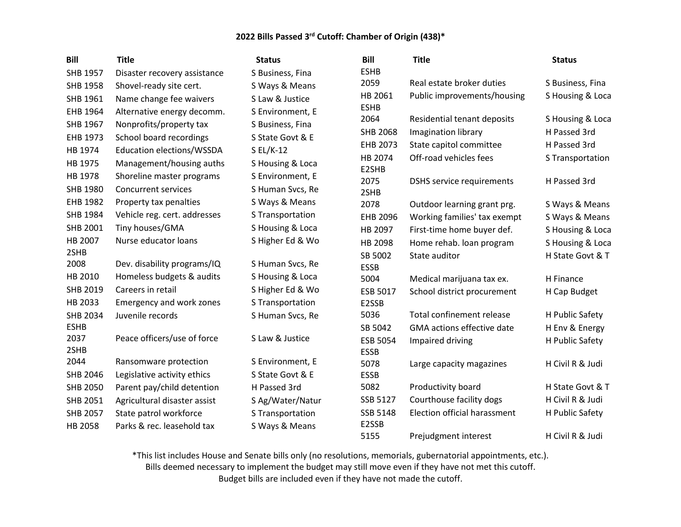| <b>Bill</b>     | <b>Title</b>                 | <b>Status</b>    | <b>Bill</b>      | <b>Title</b>                      | <b>Status</b>    |
|-----------------|------------------------------|------------------|------------------|-----------------------------------|------------------|
| SHB 1957        | Disaster recovery assistance | S Business, Fina | <b>ESHB</b>      |                                   |                  |
| <b>SHB 1958</b> | Shovel-ready site cert.      | S Ways & Means   | 2059             | Real estate broker duties         | S Business, Fina |
| SHB 1961        | Name change fee waivers      | S Law & Justice  | HB 2061          | Public improvements/housing       | S Housing & Loca |
| EHB 1964        | Alternative energy decomm.   | S Environment, E | <b>ESHB</b>      |                                   |                  |
| SHB 1967        | Nonprofits/property tax      | S Business, Fina | 2064             | Residential tenant deposits       | S Housing & Loca |
| EHB 1973        | School board recordings      | S State Govt & E | <b>SHB 2068</b>  | Imagination library               | H Passed 3rd     |
| HB 1974         | Education elections/WSSDA    | S EL/K-12        | EHB 2073         | State capitol committee           | H Passed 3rd     |
| HB 1975         | Management/housing auths     | S Housing & Loca | HB 2074<br>E2SHB | Off-road vehicles fees            | S Transportation |
| HB 1978         | Shoreline master programs    | S Environment, E | 2075             | <b>DSHS</b> service requirements  | H Passed 3rd     |
| SHB 1980        | <b>Concurrent services</b>   | S Human Svcs, Re | 2SHB             |                                   |                  |
| EHB 1982        | Property tax penalties       | S Ways & Means   | 2078             | Outdoor learning grant prg.       | S Ways & Means   |
| SHB 1984        | Vehicle reg. cert. addresses | S Transportation | EHB 2096         | Working families' tax exempt      | S Ways & Means   |
| SHB 2001        | Tiny houses/GMA              | S Housing & Loca | HB 2097          | First-time home buyer def.        | S Housing & Loca |
| HB 2007         | Nurse educator loans         | S Higher Ed & Wo | HB 2098          | Home rehab. loan program          | S Housing & Loca |
| 2SHB            |                              |                  | SB 5002          | State auditor                     | H State Govt & T |
| 2008            | Dev. disability programs/IQ  | S Human Svcs, Re | <b>ESSB</b>      |                                   |                  |
| HB 2010         | Homeless budgets & audits    | S Housing & Loca | 5004             | Medical marijuana tax ex.         | H Finance        |
| SHB 2019        | Careers in retail            | S Higher Ed & Wo | ESB 5017         | School district procurement       | H Cap Budget     |
| HB 2033         | Emergency and work zones     | S Transportation | E2SSB            |                                   |                  |
| <b>SHB 2034</b> | Juvenile records             | S Human Svcs, Re | 5036             | Total confinement release         | H Public Safety  |
| <b>ESHB</b>     |                              |                  | SB 5042          | <b>GMA</b> actions effective date | H Env & Energy   |
| 2037            | Peace officers/use of force  | S Law & Justice  | ESB 5054         | Impaired driving                  | H Public Safety  |
| 2SHB            |                              |                  | <b>ESSB</b>      |                                   |                  |
| 2044            | Ransomware protection        | S Environment, E | 5078             | Large capacity magazines          | H Civil R & Judi |
| SHB 2046        | Legislative activity ethics  | S State Govt & E | <b>ESSB</b>      |                                   |                  |
| <b>SHB 2050</b> | Parent pay/child detention   | H Passed 3rd     | 5082             | Productivity board                | H State Govt & T |
| SHB 2051        | Agricultural disaster assist | S Ag/Water/Natur | SSB 5127         | Courthouse facility dogs          | H Civil R & Judi |
| <b>SHB 2057</b> | State patrol workforce       | S Transportation | SSB 5148         | Election official harassment      | H Public Safety  |
| HB 2058         | Parks & rec. leasehold tax   | S Ways & Means   | E2SSB<br>5155    | Prejudgment interest              | H Civil R & Judi |

\*This list includes House and Senate bills only (no resolutions, memorials, gubernatorial appointments, etc.).

Bills deemed necessary to implement the budget may still move even if they have not met this cutoff.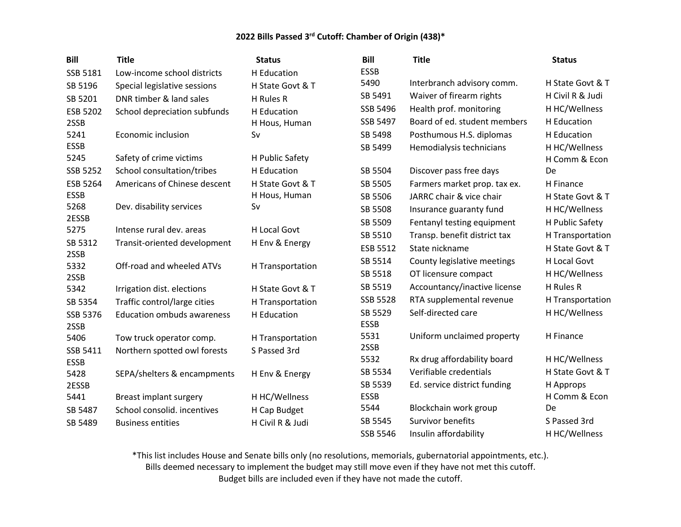| <b>Bill</b>     | <b>Title</b>                      | <b>Status</b>       | <b>Bill</b>     | <b>Title</b>                 | <b>Status</b>    |
|-----------------|-----------------------------------|---------------------|-----------------|------------------------------|------------------|
| SSB 5181        | Low-income school districts       | H Education         | <b>ESSB</b>     |                              |                  |
| SB 5196         | Special legislative sessions      | H State Govt & T    | 5490            | Interbranch advisory comm.   | H State Govt & T |
| SB 5201         | DNR timber & land sales           | H Rules R           | SB 5491         | Waiver of firearm rights     | H Civil R & Judi |
| ESB 5202        | School depreciation subfunds      | H Education         | SSB 5496        | Health prof. monitoring      | H HC/Wellness    |
| 2SSB            |                                   | H Hous, Human       | SSB 5497        | Board of ed. student members | H Education      |
| 5241            | Economic inclusion                | Sv                  | SB 5498         | Posthumous H.S. diplomas     | H Education      |
| <b>ESSB</b>     |                                   |                     | SB 5499         | Hemodialysis technicians     | H HC/Wellness    |
| 5245            | Safety of crime victims           | H Public Safety     |                 |                              | H Comm & Econ    |
| SSB 5252        | School consultation/tribes        | H Education         | SB 5504         | Discover pass free days      | De               |
| ESB 5264        | Americans of Chinese descent      | H State Govt & T    | SB 5505         | Farmers market prop. tax ex. | H Finance        |
| <b>ESSB</b>     |                                   | H Hous, Human       | SB 5506         | JARRC chair & vice chair     | H State Govt & T |
| 5268            | Dev. disability services          | Sv                  | SB 5508         | Insurance guaranty fund      | H HC/Wellness    |
| 2ESSB           |                                   |                     | SB 5509         | Fentanyl testing equipment   | H Public Safety  |
| 5275            | Intense rural dev. areas          | <b>H Local Govt</b> | SB 5510         | Transp. benefit district tax | H Transportation |
| SB 5312<br>2SSB | Transit-oriented development      | H Env & Energy      | ESB 5512        | State nickname               | H State Govt & T |
| 5332            | Off-road and wheeled ATVs         | H Transportation    | SB 5514         | County legislative meetings  | H Local Govt     |
| 2SSB            |                                   |                     | SB 5518         | OT licensure compact         | H HC/Wellness    |
| 5342            | Irrigation dist. elections        | H State Govt & T    | SB 5519         | Accountancy/inactive license | H Rules R        |
| SB 5354         | Traffic control/large cities      | H Transportation    | <b>SSB 5528</b> | RTA supplemental revenue     | H Transportation |
| SSB 5376        | <b>Education ombuds awareness</b> | H Education         | SB 5529         | Self-directed care           | H HC/Wellness    |
| 2SSB            |                                   |                     | <b>ESSB</b>     |                              |                  |
| 5406            | Tow truck operator comp.          | H Transportation    | 5531            | Uniform unclaimed property   | H Finance        |
| SSB 5411        | Northern spotted owl forests      | S Passed 3rd        | 2SSB            |                              |                  |
| <b>ESSB</b>     |                                   |                     | 5532            | Rx drug affordability board  | H HC/Wellness    |
| 5428            | SEPA/shelters & encampments       | H Env & Energy      | SB 5534         | Verifiable credentials       | H State Govt & T |
| 2ESSB           |                                   |                     | SB 5539         | Ed. service district funding | H Approps        |
| 5441            | <b>Breast implant surgery</b>     | H HC/Wellness       | <b>ESSB</b>     |                              | H Comm & Econ    |
| SB 5487         | School consolid. incentives       | H Cap Budget        | 5544            | Blockchain work group        | De               |
| SB 5489         | <b>Business entities</b>          | H Civil R & Judi    | SB 5545         | Survivor benefits            | S Passed 3rd     |
|                 |                                   |                     | SSB 5546        | Insulin affordability        | H HC/Wellness    |

\*This list includes House and Senate bills only (no resolutions, memorials, gubernatorial appointments, etc.).

Bills deemed necessary to implement the budget may still move even if they have not met this cutoff.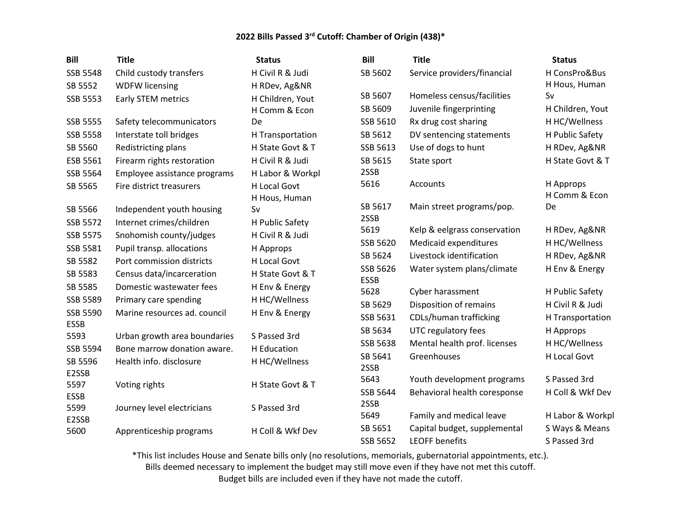| SSB 5548<br>Child custody transfers<br>H Civil R & Judi<br>SB 5602<br>Service providers/financial                 | H ConsPro&Bus    |
|-------------------------------------------------------------------------------------------------------------------|------------------|
| SB 5552<br><b>WDFW licensing</b><br>H RDev, Ag&NR                                                                 | H Hous, Human    |
| SB 5607<br>Homeless census/facilities<br>Sv<br>SSB 5553<br>Early STEM metrics<br>H Children, Yout                 |                  |
| Juvenile fingerprinting<br>SB 5609<br>H Comm & Econ                                                               | H Children, Yout |
| <b>SSB 5555</b><br>Rx drug cost sharing<br>Safety telecommunicators<br>SSB 5610<br>De                             | H HC/Wellness    |
| <b>SSB 5558</b><br>SB 5612<br>Interstate toll bridges<br>H Transportation<br>DV sentencing statements             | H Public Safety  |
| SB 5560<br>Redistricting plans<br>H State Govt & T<br>SSB 5613<br>Use of dogs to hunt                             | H RDev, Ag&NR    |
| H Civil R & Judi<br>ESB 5561<br>Firearm rights restoration<br>SB 5615<br>State sport                              | H State Govt & T |
| 2SSB<br>SSB 5564<br>H Labor & Workpl<br>Employee assistance programs                                              |                  |
| 5616<br>H Approps<br>Accounts<br>H Local Govt<br>SB 5565<br>Fire district treasurers                              |                  |
| H Hous, Human                                                                                                     | H Comm & Econ    |
| SB 5617<br>Main street programs/pop.<br>De<br>SB 5566<br>Independent youth housing<br>Sv                          |                  |
| 2SSB<br><b>SSB 5572</b><br>Internet crimes/children<br>H Public Safety<br>5619                                    |                  |
| Kelp & eelgrass conservation<br>SSB 5575<br>Snohomish county/judges<br>H Civil R & Judi                           | H RDev, Ag&NR    |
| SSB 5620<br>Medicaid expenditures<br>SSB 5581<br>Pupil transp. allocations<br>H Approps                           | H HC/Wellness    |
| Livestock identification<br>SB 5624<br>SB 5582<br>Port commission districts<br>H Local Govt                       | H RDev, Ag&NR    |
| SSB 5626<br>Water system plans/climate<br>Census data/incarceration<br>SB 5583<br>H State Govt & T<br><b>ESSB</b> | H Env & Energy   |
| SB 5585<br>Domestic wastewater fees<br>H Env & Energy<br>5628<br>Cyber harassment                                 | H Public Safety  |
| SSB 5589<br>H HC/Wellness<br>Primary care spending<br>SB 5629<br>Disposition of remains                           | H Civil R & Judi |
| SSB 5590<br>Marine resources ad. council<br>H Env & Energy<br>CDLs/human trafficking<br>SSB 5631                  | H Transportation |
| <b>ESSB</b><br>UTC regulatory fees<br>SB 5634                                                                     |                  |
| H Approps<br>Urban growth area boundaries<br>5593<br>S Passed 3rd<br>SSB 5638                                     |                  |
| Mental health prof. licenses<br>SSB 5594<br>Bone marrow donation aware.<br>H Education                            | H HC/Wellness    |
| Greenhouses<br>SB 5641<br>SB 5596<br>Health info. disclosure<br>H HC/Wellness<br>2SSB                             | H Local Govt     |
| E2SSB<br>5643<br>Youth development programs                                                                       | S Passed 3rd     |
| 5597<br>Voting rights<br>H State Govt & T<br>SSB 5644<br>Behavioral health coresponse                             | H Coll & Wkf Dev |
| <b>ESSB</b><br>2SSB                                                                                               |                  |
| 5599<br>Journey level electricians<br>S Passed 3rd<br>5649<br>Family and medical leave                            | H Labor & Workpl |
| E2SSB<br>SB 5651<br>Capital budget, supplemental                                                                  | S Ways & Means   |
| 5600<br>H Coll & Wkf Dev<br>Apprenticeship programs<br><b>LEOFF benefits</b><br>SSB 5652                          | S Passed 3rd     |

\*This list includes House and Senate bills only (no resolutions, memorials, gubernatorial appointments, etc.). Bills deemed necessary to implement the budget may still move even if they have not met this cutoff.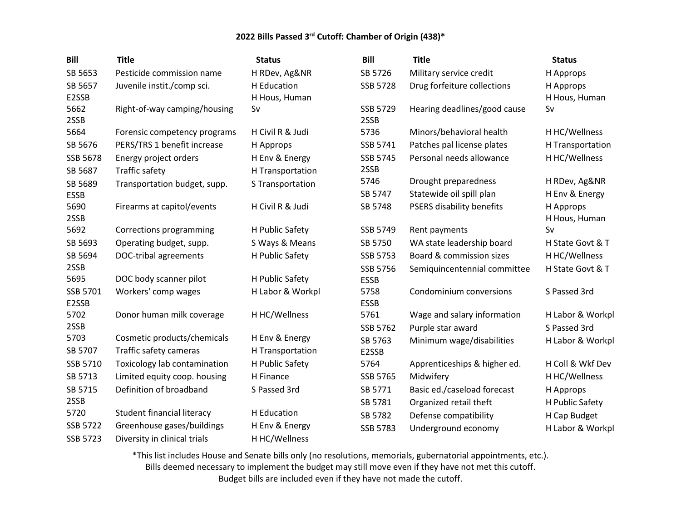| <b>Bill</b>       | <b>Title</b>                 | <b>Status</b>                | <b>Bill</b>         | <b>Title</b>                     | <b>Status</b>              |
|-------------------|------------------------------|------------------------------|---------------------|----------------------------------|----------------------------|
| SB 5653           | Pesticide commission name    | H RDev, Ag&NR                | SB 5726             | Military service credit          | H Approps                  |
| SB 5657<br>E2SSB  | Juvenile instit./comp sci.   | H Education<br>H Hous, Human | SSB 5728            | Drug forfeiture collections      | H Approps<br>H Hous, Human |
| 5662<br>2SSB      | Right-of-way camping/housing | Sv                           | SSB 5729<br>2SSB    | Hearing deadlines/good cause     | Sv                         |
| 5664              | Forensic competency programs | H Civil R & Judi             | 5736                | Minors/behavioral health         | H HC/Wellness              |
| SB 5676           | PERS/TRS 1 benefit increase  | H Approps                    | SSB 5741            | Patches pal license plates       | H Transportation           |
| SSB 5678          | Energy project orders        | H Env & Energy               | SSB 5745            | Personal needs allowance         | H HC/Wellness              |
| SB 5687           | Traffic safety               | H Transportation             | 2SSB                |                                  |                            |
| SB 5689           | Transportation budget, supp. | S Transportation             | 5746                | Drought preparedness             | H RDev, Ag&NR              |
| <b>ESSB</b>       |                              |                              | SB 5747             | Statewide oil spill plan         | H Env & Energy             |
| 5690<br>2SSB      | Firearms at capitol/events   | H Civil R & Judi             | SB 5748             | <b>PSERS disability benefits</b> | H Approps<br>H Hous, Human |
| 5692              | Corrections programming      | H Public Safety              | SSB 5749            | Rent payments                    | Sv                         |
| SB 5693           | Operating budget, supp.      | S Ways & Means               | SB 5750             | WA state leadership board        | H State Govt & T           |
| SB 5694           | DOC-tribal agreements        | H Public Safety              | SSB 5753            | Board & commission sizes         | H HC/Wellness              |
| 2SSB              |                              |                              | SSB 5756            | Semiquincentennial committee     | H State Govt & T           |
| 5695              | DOC body scanner pilot       | H Public Safety              | <b>ESSB</b>         |                                  |                            |
| SSB 5701<br>E2SSB | Workers' comp wages          | H Labor & Workpl             | 5758<br><b>ESSB</b> | Condominium conversions          | S Passed 3rd               |
| 5702              | Donor human milk coverage    | H HC/Wellness                | 5761                | Wage and salary information      | H Labor & Workpl           |
| 2SSB              |                              |                              | SSB 5762            | Purple star award                | S Passed 3rd               |
| 5703              | Cosmetic products/chemicals  | H Env & Energy               | SB 5763             | Minimum wage/disabilities        | H Labor & Workpl           |
| SB 5707           | Traffic safety cameras       | H Transportation             | E2SSB               |                                  |                            |
| SSB 5710          | Toxicology lab contamination | H Public Safety              | 5764                | Apprenticeships & higher ed.     | H Coll & Wkf Dev           |
| SB 5713           | Limited equity coop. housing | H Finance                    | SSB 5765            | Midwifery                        | H HC/Wellness              |
| SB 5715           | Definition of broadband      | S Passed 3rd                 | SB 5771             | Basic ed./caseload forecast      | H Approps                  |
| 2SSB              |                              |                              | SB 5781             | Organized retail theft           | H Public Safety            |
| 5720              | Student financial literacy   | H Education                  | SB 5782             | Defense compatibility            | H Cap Budget               |
| <b>SSB 5722</b>   | Greenhouse gases/buildings   | H Env & Energy               | SSB 5783            | Underground economy              | H Labor & Workpl           |
| <b>SSB 5723</b>   | Diversity in clinical trials | H HC/Wellness                |                     |                                  |                            |

\*This list includes House and Senate bills only (no resolutions, memorials, gubernatorial appointments, etc.). Bills deemed necessary to implement the budget may still move even if they have not met this cutoff. Budget bills are included even if they have not made the cutoff.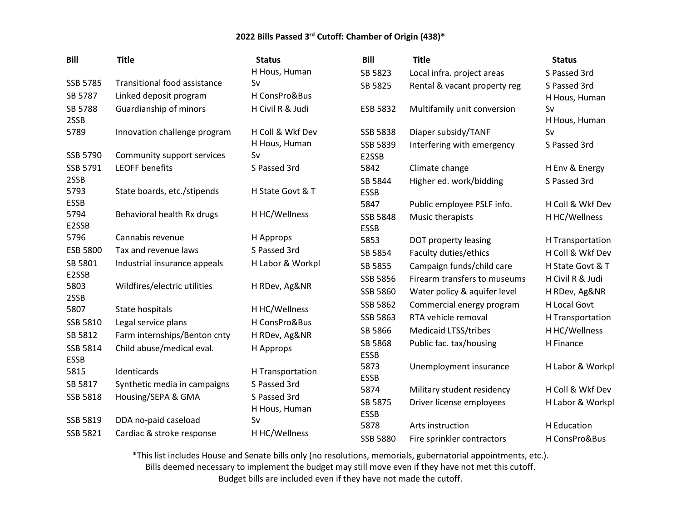| <b>Bill</b>     | <b>Title</b>                        | <b>Status</b>    | <b>Bill</b>                    | <b>Title</b>                 | <b>Status</b>    |
|-----------------|-------------------------------------|------------------|--------------------------------|------------------------------|------------------|
|                 |                                     | H Hous, Human    | SB 5823                        | Local infra. project areas   | S Passed 3rd     |
| <b>SSB 5785</b> | <b>Transitional food assistance</b> | Sv               | SB 5825                        | Rental & vacant property reg | S Passed 3rd     |
| SB 5787         | Linked deposit program              | H ConsPro&Bus    |                                |                              | H Hous, Human    |
| SB 5788         | Guardianship of minors              | H Civil R & Judi | ESB 5832                       | Multifamily unit conversion  | Sv               |
| 2SSB            |                                     |                  |                                |                              | H Hous, Human    |
| 5789            | Innovation challenge program        | H Coll & Wkf Dev | <b>SSB 5838</b>                | Diaper subsidy/TANF          | Sv               |
|                 |                                     | H Hous, Human    | SSB 5839                       | Interfering with emergency   | S Passed 3rd     |
| SSB 5790        | Community support services          | Sv               | E2SSB                          |                              |                  |
| SSB 5791        | <b>LEOFF benefits</b>               | S Passed 3rd     | 5842                           | Climate change               | H Env & Energy   |
| 2SSB<br>5793    | State boards, etc./stipends         | H State Govt & T | SB 5844                        | Higher ed. work/bidding      | S Passed 3rd     |
| <b>ESSB</b>     |                                     |                  | <b>ESSB</b><br>5847            |                              | H Coll & Wkf Dev |
| 5794            | Behavioral health Rx drugs          | H HC/Wellness    |                                | Public employee PSLF info.   |                  |
| E2SSB           |                                     |                  | <b>SSB 5848</b><br><b>ESSB</b> | Music therapists             | H HC/Wellness    |
| 5796            | Cannabis revenue                    | H Approps        | 5853                           | DOT property leasing         | H Transportation |
| <b>ESB 5800</b> | Tax and revenue laws                | S Passed 3rd     | SB 5854                        | Faculty duties/ethics        | H Coll & Wkf Dev |
| SB 5801         | Industrial insurance appeals        | H Labor & Workpl | SB 5855                        | Campaign funds/child care    | H State Govt & T |
| E2SSB           |                                     |                  | SSB 5856                       | Firearm transfers to museums | H Civil R & Judi |
| 5803            | Wildfires/electric utilities        | H RDev, Ag&NR    | SSB 5860                       | Water policy & aquifer level | H RDev, Ag&NR    |
| 2SSB<br>5807    | State hospitals                     | H HC/Wellness    | SSB 5862                       | Commercial energy program    | H Local Govt     |
| SSB 5810        | Legal service plans                 | H ConsPro&Bus    | SSB 5863                       | RTA vehicle removal          | H Transportation |
| SB 5812         | Farm internships/Benton cnty        | H RDev, Ag&NR    | SB 5866                        | <b>Medicaid LTSS/tribes</b>  | H HC/Wellness    |
| SSB 5814        | Child abuse/medical eval.           | H Approps        | SB 5868                        | Public fac. tax/housing      | H Finance        |
| <b>ESSB</b>     |                                     |                  | <b>ESSB</b>                    |                              |                  |
| 5815            | Identicards                         | H Transportation | 5873                           | Unemployment insurance       | H Labor & Workpl |
| SB 5817         | Synthetic media in campaigns        | S Passed 3rd     | <b>ESSB</b>                    |                              |                  |
| SSB 5818        | Housing/SEPA & GMA                  | S Passed 3rd     | 5874                           | Military student residency   | H Coll & Wkf Dev |
|                 |                                     | H Hous, Human    | SB 5875<br><b>ESSB</b>         | Driver license employees     | H Labor & Workpl |
| SSB 5819        | DDA no-paid caseload                | Sv               | 5878                           | Arts instruction             | H Education      |
| SSB 5821        | Cardiac & stroke response           | H HC/Wellness    | <b>SSB 5880</b>                | Fire sprinkler contractors   | H ConsPro&Bus    |

\*This list includes House and Senate bills only (no resolutions, memorials, gubernatorial appointments, etc.).

Bills deemed necessary to implement the budget may still move even if they have not met this cutoff.